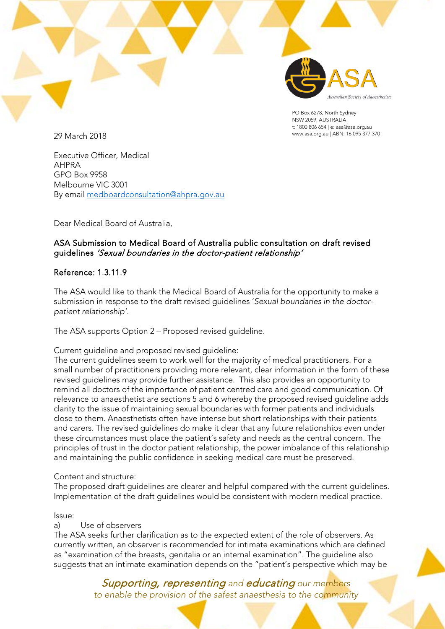

PO Box 6278, North Sydney NSW 2059, AUSTRALIA t: 1800 806 654 | e[: asa@asa.org.au](mailto:asa@asa.org.au) [www.asa.org.au](http://www.asa.org.au/) | ABN: 16 095 377 370

29 March 2018

Executive Officer, Medical AHPRA GPO Box 9958 Melbourne VIC 3001 By email [medboardconsultation@ahpra.gov.au](mailto:medboardconsultation@ahpra.gov.au)

Dear Medical Board of Australia,

## ASA Submission to Medical Board of Australia public consultation on draft revised guidelines 'Sexual boundaries in the doctor-patient relationship'

## Reference: 1.3.11.9

The ASA would like to thank the Medical Board of Australia for the opportunity to make a submission in response to the draft revised guidelines '*Sexual boundaries in the doctorpatient relationship'*.

The ASA supports Option 2 – Proposed revised guideline.

Current guideline and proposed revised guideline:

The current guidelines seem to work well for the majority of medical practitioners. For a small number of practitioners providing more relevant, clear information in the form of these revised guidelines may provide further assistance. This also provides an opportunity to remind all doctors of the importance of patient centred care and good communication. Of relevance to anaesthetist are sections 5 and 6 whereby the proposed revised guideline adds clarity to the issue of maintaining sexual boundaries with former patients and individuals close to them. Anaesthetists often have intense but short relationships with their patients and carers. The revised guidelines do make it clear that any future relationships even under these circumstances must place the patient's safety and needs as the central concern. The principles of trust in the doctor patient relationship, the power imbalance of this relationship and maintaining the public confidence in seeking medical care must be preserved.

## Content and structure:

The proposed draft guidelines are clearer and helpful compared with the current guidelines. Implementation of the draft guidelines would be consistent with modern medical practice.

Issue:

## a) Use of observers

The ASA seeks further clarification as to the expected extent of the role of observers. As currently written, an observer is recommended for intimate examinations which are defined as "examination of the breasts, genitalia or an internal examination". The guideline also suggests that an intimate examination depends on the "patient's perspective which may be

> Supporting, representing *and* educating *our members to enable the provision of the safest anaesthesia to the community*